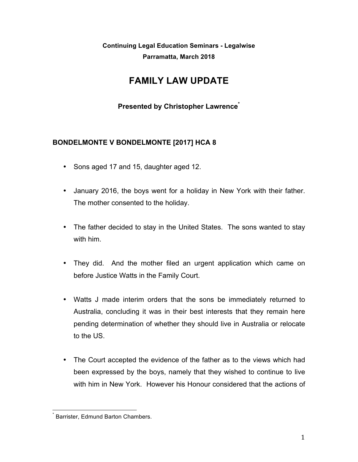**Continuing Legal Education Seminars - Legalwise Parramatta, March 2018**

# **FAMILY LAW UPDATE**

#### **Presented by Christopher Lawrence\***

#### **BONDELMONTE V BONDELMONTE [2017] HCA 8**

- Sons aged 17 and 15, daughter aged 12.
- January 2016, the boys went for a holiday in New York with their father. The mother consented to the holiday.
- The father decided to stay in the United States. The sons wanted to stay with him.
- They did. And the mother filed an urgent application which came on before Justice Watts in the Family Court.
- Watts J made interim orders that the sons be immediately returned to Australia, concluding it was in their best interests that they remain here pending determination of whether they should live in Australia or relocate to the US.
- The Court accepted the evidence of the father as to the views which had been expressed by the boys, namely that they wished to continue to live with him in New York. However his Honour considered that the actions of

<sup>&</sup>lt;u>meta</u><br>1995 - Barrister, Edmund Barton Chambers.<br>1995 - Barton Chambers.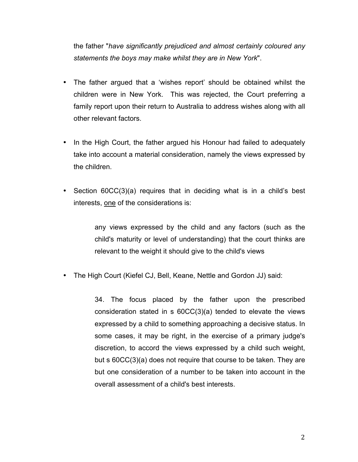the father "*have significantly prejudiced and almost certainly coloured any statements the boys may make whilst they are in New York*".

- The father argued that a 'wishes report' should be obtained whilst the children were in New York. This was rejected, the Court preferring a family report upon their return to Australia to address wishes along with all other relevant factors.
- In the High Court, the father argued his Honour had failed to adequately take into account a material consideration, namely the views expressed by the children.
- Section 60CC(3)(a) requires that in deciding what is in a child's best interests, one of the considerations is:

any views expressed by the child and any factors (such as the child's maturity or level of understanding) that the court thinks are relevant to the weight it should give to the child's views

• The High Court (Kiefel CJ, Bell, Keane, Nettle and Gordon JJ) said:

34. The focus placed by the father upon the prescribed consideration stated in s 60CC(3)(a) tended to elevate the views expressed by a child to something approaching a decisive status. In some cases, it may be right, in the exercise of a primary judge's discretion, to accord the views expressed by a child such weight, but s 60CC(3)(a) does not require that course to be taken. They are but one consideration of a number to be taken into account in the overall assessment of a child's best interests.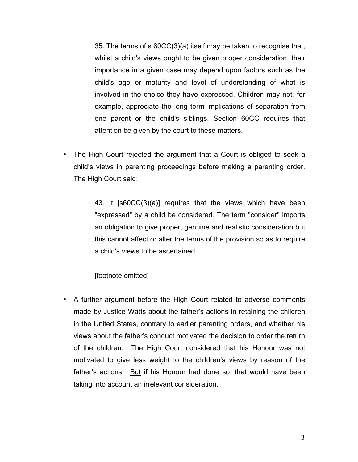35. The terms of s 60CC(3)(a) itself may be taken to recognise that, whilst a child's views ought to be given proper consideration, their importance in a given case may depend upon factors such as the child's age or maturity and level of understanding of what is involved in the choice they have expressed. Children may not, for example, appreciate the long term implications of separation from one parent or the child's siblings. Section 60CC requires that attention be given by the court to these matters.

• The High Court rejected the argument that a Court is obliged to seek a child's views in parenting proceedings before making a parenting order. The High Court said:

> 43. It [s60CC(3)(a)] requires that the views which have been "expressed" by a child be considered. The term "consider" imports an obligation to give proper, genuine and realistic consideration but this cannot affect or alter the terms of the provision so as to require a child's views to be ascertained.

[footnote omitted]

• A further argument before the High Court related to adverse comments made by Justice Watts about the father's actions in retaining the children in the United States, contrary to earlier parenting orders, and whether his views about the father's conduct motivated the decision to order the return of the children. The High Court considered that his Honour was not motivated to give less weight to the children's views by reason of the father's actions. But if his Honour had done so, that would have been taking into account an irrelevant consideration.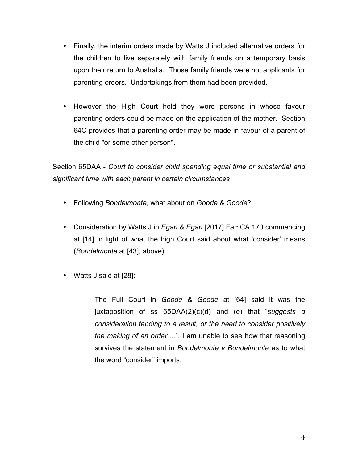- Finally, the interim orders made by Watts J included alternative orders for the children to live separately with family friends on a temporary basis upon their return to Australia. Those family friends were not applicants for parenting orders. Undertakings from them had been provided.
- However the High Court held they were persons in whose favour parenting orders could be made on the application of the mother. Section 64C provides that a parenting order may be made in favour of a parent of the child "or some other person".

Section 65DAA - *Court to consider child spending equal time or substantial and significant time with each parent in certain circumstances*

- Following *Bondelmonte*, what about on *Goode & Goode*?
- Consideration by Watts J in *Egan & Egan* [2017] FamCA 170 commencing at [14] in light of what the high Court said about what 'consider' means (*Bondelmonte* at [43], above).
- Watts J said at [28]:

The Full Court in *Goode & Goode* at [64] said it was the juxtaposition of ss 65DAA(2)(c)(d) and (e) that "*suggests a consideration tending to a result, or the need to consider positively the making of an order* ...". I am unable to see how that reasoning survives the statement in *Bondelmonte v Bondelmonte* as to what the word "consider" imports.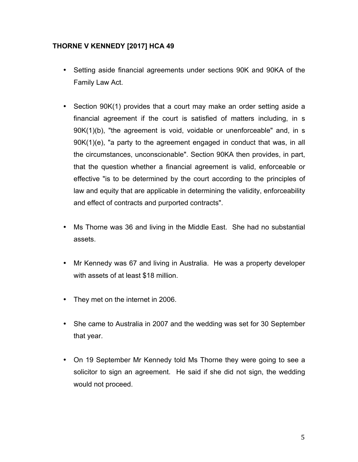#### **THORNE V KENNEDY [2017] HCA 49**

- Setting aside financial agreements under sections 90K and 90KA of the Family Law Act.
- Section 90K(1) provides that a court may make an order setting aside a financial agreement if the court is satisfied of matters including, in s 90K(1)(b), "the agreement is void, voidable or unenforceable" and, in s 90K(1)(e), "a party to the agreement engaged in conduct that was, in all the circumstances, unconscionable". Section 90KA then provides, in part, that the question whether a financial agreement is valid, enforceable or effective "is to be determined by the court according to the principles of law and equity that are applicable in determining the validity, enforceability and effect of contracts and purported contracts".
- Ms Thorne was 36 and living in the Middle East. She had no substantial assets.
- Mr Kennedy was 67 and living in Australia. He was a property developer with assets of at least \$18 million.
- They met on the internet in 2006.
- She came to Australia in 2007 and the wedding was set for 30 September that year.
- On 19 September Mr Kennedy told Ms Thorne they were going to see a solicitor to sign an agreement. He said if she did not sign, the wedding would not proceed.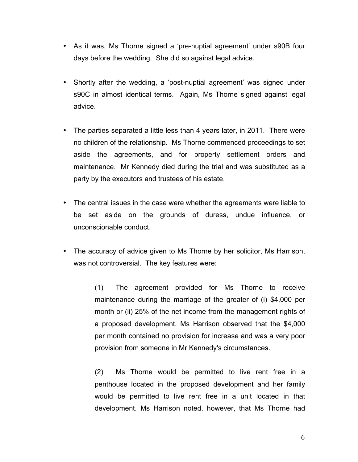- As it was, Ms Thorne signed a 'pre-nuptial agreement' under s90B four days before the wedding. She did so against legal advice.
- Shortly after the wedding, a 'post-nuptial agreement' was signed under s90C in almost identical terms. Again, Ms Thorne signed against legal advice.
- The parties separated a little less than 4 years later, in 2011. There were no children of the relationship. Ms Thorne commenced proceedings to set aside the agreements, and for property settlement orders and maintenance. Mr Kennedy died during the trial and was substituted as a party by the executors and trustees of his estate.
- The central issues in the case were whether the agreements were liable to be set aside on the grounds of duress, undue influence, or unconscionable conduct.
- The accuracy of advice given to Ms Thorne by her solicitor, Ms Harrison, was not controversial. The key features were:

(1) The agreement provided for Ms Thorne to receive maintenance during the marriage of the greater of (i) \$4,000 per month or (ii) 25% of the net income from the management rights of a proposed development. Ms Harrison observed that the \$4,000 per month contained no provision for increase and was a very poor provision from someone in Mr Kennedy's circumstances.

(2) Ms Thorne would be permitted to live rent free in a penthouse located in the proposed development and her family would be permitted to live rent free in a unit located in that development. Ms Harrison noted, however, that Ms Thorne had

6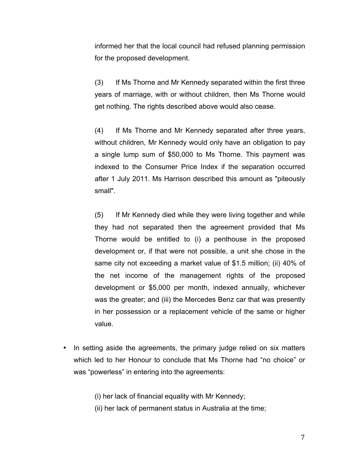informed her that the local council had refused planning permission for the proposed development.

(3) If Ms Thorne and Mr Kennedy separated within the first three years of marriage, with or without children, then Ms Thorne would get nothing. The rights described above would also cease.

(4) If Ms Thorne and Mr Kennedy separated after three years, without children, Mr Kennedy would only have an obligation to pay a single lump sum of \$50,000 to Ms Thorne. This payment was indexed to the Consumer Price Index if the separation occurred after 1 July 2011. Ms Harrison described this amount as "piteously small".

(5) If Mr Kennedy died while they were living together and while they had not separated then the agreement provided that Ms Thorne would be entitled to (i) a penthouse in the proposed development or, if that were not possible, a unit she chose in the same city not exceeding a market value of \$1.5 million; (ii) 40% of the net income of the management rights of the proposed development or \$5,000 per month, indexed annually, whichever was the greater; and (iii) the Mercedes Benz car that was presently in her possession or a replacement vehicle of the same or higher value.

• In setting aside the agreements, the primary judge relied on six matters which led to her Honour to conclude that Ms Thorne had "no choice" or was "powerless" in entering into the agreements:

(i) her lack of financial equality with Mr Kennedy;

(ii) her lack of permanent status in Australia at the time;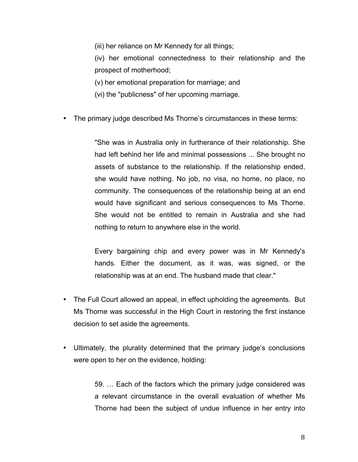(iii) her reliance on Mr Kennedy for all things;

(iv) her emotional connectedness to their relationship and the prospect of motherhood;

(v) her emotional preparation for marriage; and

(vi) the "publicness" of her upcoming marriage.

• The primary judge described Ms Thorne's circumstances in these terms:

"She was in Australia only in furtherance of their relationship. She had left behind her life and minimal possessions ... She brought no assets of substance to the relationship. If the relationship ended, she would have nothing. No job, no visa, no home, no place, no community. The consequences of the relationship being at an end would have significant and serious consequences to Ms Thorne. She would not be entitled to remain in Australia and she had nothing to return to anywhere else in the world.

Every bargaining chip and every power was in Mr Kennedy's hands. Either the document, as it was, was signed, or the relationship was at an end. The husband made that clear."

- The Full Court allowed an appeal, in effect upholding the agreements. But Ms Thorne was successful in the High Court in restoring the first instance decision to set aside the agreements.
- Ultimately, the plurality determined that the primary judge's conclusions were open to her on the evidence, holding:

59. … Each of the factors which the primary judge considered was a relevant circumstance in the overall evaluation of whether Ms Thorne had been the subject of undue influence in her entry into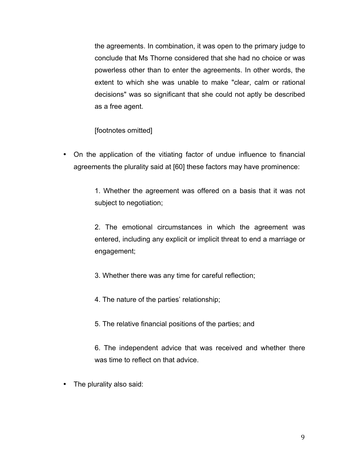the agreements. In combination, it was open to the primary judge to conclude that Ms Thorne considered that she had no choice or was powerless other than to enter the agreements. In other words, the extent to which she was unable to make "clear, calm or rational decisions" was so significant that she could not aptly be described as a free agent.

[footnotes omitted]

• On the application of the vitiating factor of undue influence to financial agreements the plurality said at [60] these factors may have prominence:

> 1. Whether the agreement was offered on a basis that it was not subject to negotiation;

> 2. The emotional circumstances in which the agreement was entered, including any explicit or implicit threat to end a marriage or engagement;

- 3. Whether there was any time for careful reflection;
- 4. The nature of the parties' relationship;
- 5. The relative financial positions of the parties; and

6. The independent advice that was received and whether there was time to reflect on that advice.

• The plurality also said: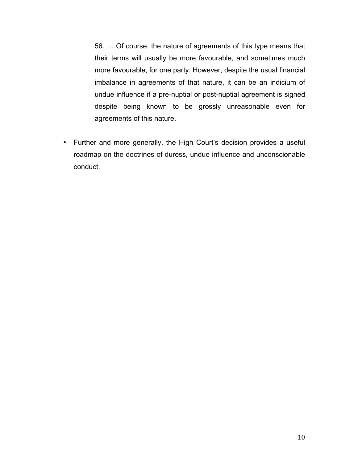56. …Of course, the nature of agreements of this type means that their terms will usually be more favourable, and sometimes much more favourable, for one party. However, despite the usual financial imbalance in agreements of that nature, it can be an indicium of undue influence if a pre-nuptial or post-nuptial agreement is signed despite being known to be grossly unreasonable even for agreements of this nature.

• Further and more generally, the High Court's decision provides a useful roadmap on the doctrines of duress, undue influence and unconscionable conduct.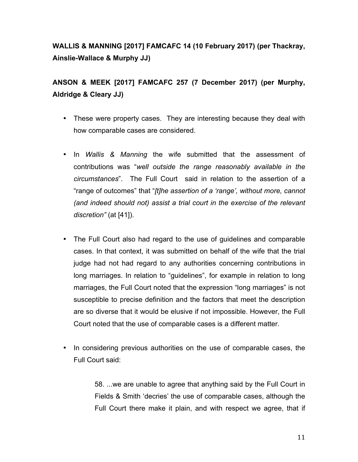## **WALLIS & MANNING [2017] FAMCAFC 14 (10 February 2017) (per Thackray, Ainslie-Wallace & Murphy JJ)**

**ANSON & MEEK [2017] FAMCAFC 257 (7 December 2017) (per Murphy, Aldridge & Cleary JJ)**

- These were property cases. They are interesting because they deal with how comparable cases are considered.
- In *Wallis & Manning* the wife submitted that the assessment of contributions was "*well outside the range reasonably available in the circumstances*". The Full Court said in relation to the assertion of a "range of outcomes" that "*[t]he assertion of a 'range', without more, cannot (and indeed should not) assist a trial court in the exercise of the relevant discretion"* (at [41]).
- The Full Court also had regard to the use of guidelines and comparable cases. In that context, it was submitted on behalf of the wife that the trial judge had not had regard to any authorities concerning contributions in long marriages. In relation to "guidelines", for example in relation to long marriages, the Full Court noted that the expression "long marriages" is not susceptible to precise definition and the factors that meet the description are so diverse that it would be elusive if not impossible. However, the Full Court noted that the use of comparable cases is a different matter.
- In considering previous authorities on the use of comparable cases, the Full Court said:

58. ...we are unable to agree that anything said by the Full Court in Fields & Smith 'decries' the use of comparable cases, although the Full Court there make it plain, and with respect we agree, that if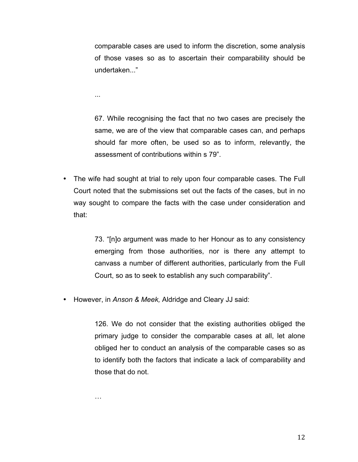comparable cases are used to inform the discretion, some analysis of those vases so as to ascertain their comparability should be undertaken..."

...

67. While recognising the fact that no two cases are precisely the same, we are of the view that comparable cases can, and perhaps should far more often, be used so as to inform, relevantly, the assessment of contributions within s 79".

• The wife had sought at trial to rely upon four comparable cases. The Full Court noted that the submissions set out the facts of the cases, but in no way sought to compare the facts with the case under consideration and that:

> 73. "[n]o argument was made to her Honour as to any consistency emerging from those authorities, nor is there any attempt to canvass a number of different authorities, particularly from the Full Court, so as to seek to establish any such comparability".

• However, in *Anson & Meek,* Aldridge and Cleary JJ said:

126. We do not consider that the existing authorities obliged the primary judge to consider the comparable cases at all, let alone obliged her to conduct an analysis of the comparable cases so as to identify both the factors that indicate a lack of comparability and those that do not.

…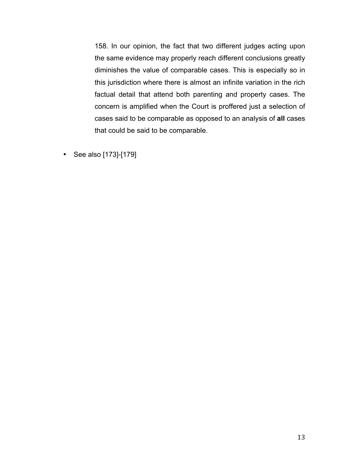158. In our opinion, the fact that two different judges acting upon the same evidence may properly reach different conclusions greatly diminishes the value of comparable cases. This is especially so in this jurisdiction where there is almost an infinite variation in the rich factual detail that attend both parenting and property cases. The concern is amplified when the Court is proffered just a selection of cases said to be comparable as opposed to an analysis of **all** cases that could be said to be comparable.

• See also [173]-[179]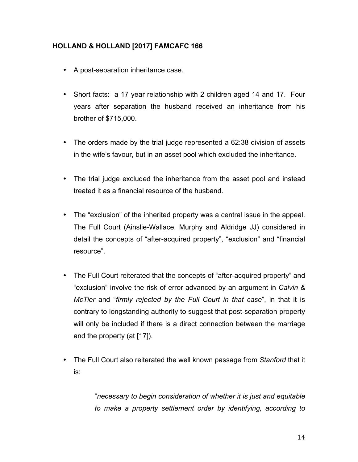#### **HOLLAND & HOLLAND [2017] FAMCAFC 166**

- A post-separation inheritance case.
- Short facts: a 17 year relationship with 2 children aged 14 and 17. Four years after separation the husband received an inheritance from his brother of \$715,000.
- The orders made by the trial judge represented a 62:38 division of assets in the wife's favour, but in an asset pool which excluded the inheritance.
- The trial judge excluded the inheritance from the asset pool and instead treated it as a financial resource of the husband.
- The "exclusion" of the inherited property was a central issue in the appeal. The Full Court (Ainslie-Wallace, Murphy and Aldridge JJ) considered in detail the concepts of "after-acquired property", "exclusion" and "financial resource".
- The Full Court reiterated that the concepts of "after-acquired property" and "exclusion" involve the risk of error advanced by an argument in *Calvin & McTier* and "*firmly rejected by the Full Court in that case*", in that it is contrary to longstanding authority to suggest that post-separation property will only be included if there is a direct connection between the marriage and the property (at [17]).
- The Full Court also reiterated the well known passage from *Stanford* that it is:

"*necessary to begin consideration of whether it is just and equitable to make a property settlement order by identifying, according to*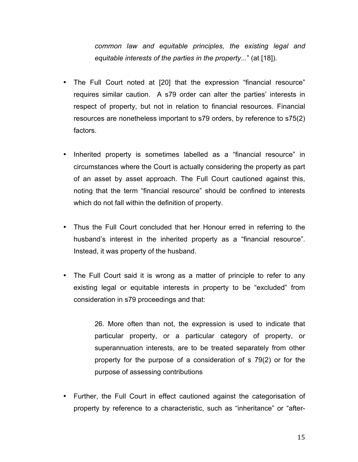*common law and equitable principles, the existing legal and equitable interests of the parties in the property...*" (at [18]).

- The Full Court noted at [20] that the expression "financial resource" requires similar caution. A s79 order can alter the parties' interests in respect of property, but not in relation to financial resources. Financial resources are nonetheless important to s79 orders, by reference to s75(2) factors.
- Inherited property is sometimes labelled as a "financial resource" in circumstances where the Court is actually considering the property as part of an asset by asset approach. The Full Court cautioned against this, noting that the term "financial resource" should be confined to interests which do not fall within the definition of property.
- Thus the Full Court concluded that her Honour erred in referring to the husband's interest in the inherited property as a "financial resource". Instead, it was property of the husband.
- The Full Court said it is wrong as a matter of principle to refer to any existing legal or equitable interests in property to be "excluded" from consideration in s79 proceedings and that:

26. More often than not, the expression is used to indicate that particular property, or a particular category of property, or superannuation interests, are to be treated separately from other property for the purpose of a consideration of s 79(2) or for the purpose of assessing contributions

• Further, the Full Court in effect cautioned against the categorisation of property by reference to a characteristic, such as "inheritance" or "after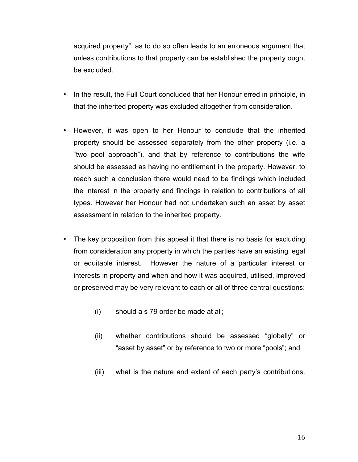acquired property", as to do so often leads to an erroneous argument that unless contributions to that property can be established the property ought be excluded.

- In the result, the Full Court concluded that her Honour erred in principle, in that the inherited property was excluded altogether from consideration.
- However, it was open to her Honour to conclude that the inherited property should be assessed separately from the other property (i.e. a "two pool approach"), and that by reference to contributions the wife should be assessed as having no entitlement in the property. However, to reach such a conclusion there would need to be findings which included the interest in the property and findings in relation to contributions of all types. However her Honour had not undertaken such an asset by asset assessment in relation to the inherited property.
- The key proposition from this appeal it that there is no basis for excluding from consideration any property in which the parties have an existing legal or equitable interest. However the nature of a particular interest or interests in property and when and how it was acquired, utilised, improved or preserved may be very relevant to each or all of three central questions:
	- (i) should a s 79 order be made at all;
	- (ii) whether contributions should be assessed "globally" or "asset by asset" or by reference to two or more "pools"; and
	- (iii) what is the nature and extent of each party's contributions.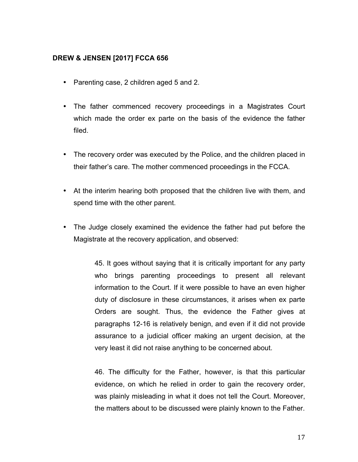#### **DREW & JENSEN [2017] FCCA 656**

- Parenting case, 2 children aged 5 and 2.
- The father commenced recovery proceedings in a Magistrates Court which made the order ex parte on the basis of the evidence the father filed.
- The recovery order was executed by the Police, and the children placed in their father's care. The mother commenced proceedings in the FCCA.
- At the interim hearing both proposed that the children live with them, and spend time with the other parent.
- The Judge closely examined the evidence the father had put before the Magistrate at the recovery application, and observed:

45. It goes without saying that it is critically important for any party who brings parenting proceedings to present all relevant information to the Court. If it were possible to have an even higher duty of disclosure in these circumstances, it arises when ex parte Orders are sought. Thus, the evidence the Father gives at paragraphs 12-16 is relatively benign, and even if it did not provide assurance to a judicial officer making an urgent decision, at the very least it did not raise anything to be concerned about.

46. The difficulty for the Father, however, is that this particular evidence, on which he relied in order to gain the recovery order, was plainly misleading in what it does not tell the Court. Moreover, the matters about to be discussed were plainly known to the Father.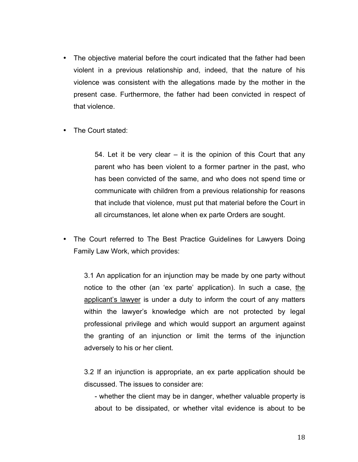- The objective material before the court indicated that the father had been violent in a previous relationship and, indeed, that the nature of his violence was consistent with the allegations made by the mother in the present case. Furthermore, the father had been convicted in respect of that violence.
- The Court stated:

54. Let it be very clear – it is the opinion of this Court that any parent who has been violent to a former partner in the past, who has been convicted of the same, and who does not spend time or communicate with children from a previous relationship for reasons that include that violence, must put that material before the Court in all circumstances, let alone when ex parte Orders are sought.

• The Court referred to The Best Practice Guidelines for Lawyers Doing Family Law Work, which provides:

3.1 An application for an injunction may be made by one party without notice to the other (an 'ex parte' application). In such a case, the applicant's lawyer is under a duty to inform the court of any matters within the lawyer's knowledge which are not protected by legal professional privilege and which would support an argument against the granting of an injunction or limit the terms of the injunction adversely to his or her client.

3.2 If an injunction is appropriate, an ex parte application should be discussed. The issues to consider are:

- whether the client may be in danger, whether valuable property is about to be dissipated, or whether vital evidence is about to be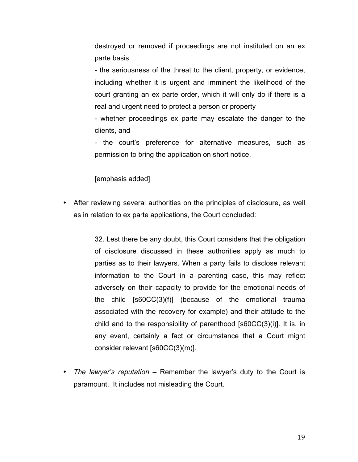destroyed or removed if proceedings are not instituted on an ex parte basis

- the seriousness of the threat to the client, property, or evidence, including whether it is urgent and imminent the likelihood of the court granting an ex parte order, which it will only do if there is a real and urgent need to protect a person or property

- whether proceedings ex parte may escalate the danger to the clients, and

- the court's preference for alternative measures, such as permission to bring the application on short notice.

[emphasis added]

• After reviewing several authorities on the principles of disclosure, as well as in relation to ex parte applications, the Court concluded:

> 32. Lest there be any doubt, this Court considers that the obligation of disclosure discussed in these authorities apply as much to parties as to their lawyers. When a party fails to disclose relevant information to the Court in a parenting case, this may reflect adversely on their capacity to provide for the emotional needs of the child [s60CC(3)(f)] (because of the emotional trauma associated with the recovery for example) and their attitude to the child and to the responsibility of parenthood [s60CC(3)(i)]. It is, in any event, certainly a fact or circumstance that a Court might consider relevant [s60CC(3)(m)].

• *The lawyer's reputation –* Remember the lawyer's duty to the Court is paramount. It includes not misleading the Court.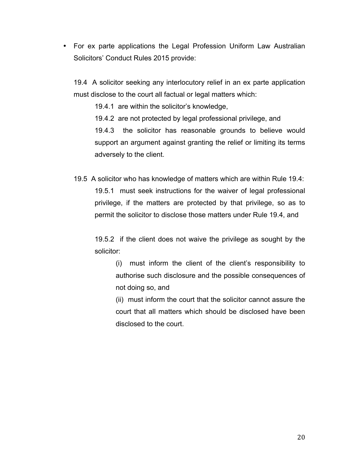• For ex parte applications the Legal Profession Uniform Law Australian Solicitors' Conduct Rules 2015 provide:

19.4 A solicitor seeking any interlocutory relief in an ex parte application must disclose to the court all factual or legal matters which:

19.4.1 are within the solicitor's knowledge,

19.4.2 are not protected by legal professional privilege, and

19.4.3 the solicitor has reasonable grounds to believe would support an argument against granting the relief or limiting its terms adversely to the client.

19.5 A solicitor who has knowledge of matters which are within Rule 19.4: 19.5.1 must seek instructions for the waiver of legal professional privilege, if the matters are protected by that privilege, so as to permit the solicitor to disclose those matters under Rule 19.4, and

19.5.2 if the client does not waive the privilege as sought by the solicitor:

(i) must inform the client of the client's responsibility to authorise such disclosure and the possible consequences of not doing so, and

(ii) must inform the court that the solicitor cannot assure the court that all matters which should be disclosed have been disclosed to the court.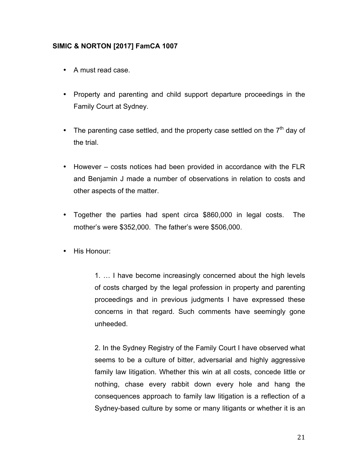#### **SIMIC & NORTON [2017] FamCA 1007**

- A must read case.
- Property and parenting and child support departure proceedings in the Family Court at Sydney.
- The parenting case settled, and the property case settled on the  $7<sup>th</sup>$  day of the trial.
- However costs notices had been provided in accordance with the FLR and Benjamin J made a number of observations in relation to costs and other aspects of the matter.
- Together the parties had spent circa \$860,000 in legal costs. The mother's were \$352,000. The father's were \$506,000.
- His Honour:

1. … I have become increasingly concerned about the high levels of costs charged by the legal profession in property and parenting proceedings and in previous judgments I have expressed these concerns in that regard. Such comments have seemingly gone unheeded.

2. In the Sydney Registry of the Family Court I have observed what seems to be a culture of bitter, adversarial and highly aggressive family law litigation. Whether this win at all costs, concede little or nothing, chase every rabbit down every hole and hang the consequences approach to family law litigation is a reflection of a Sydney-based culture by some or many litigants or whether it is an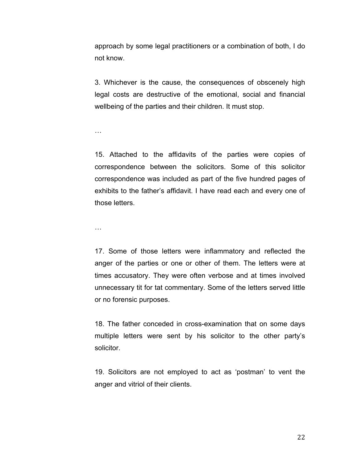approach by some legal practitioners or a combination of both, I do not know.

3. Whichever is the cause, the consequences of obscenely high legal costs are destructive of the emotional, social and financial wellbeing of the parties and their children. It must stop.

…

15. Attached to the affidavits of the parties were copies of correspondence between the solicitors. Some of this solicitor correspondence was included as part of the five hundred pages of exhibits to the father's affidavit. I have read each and every one of those letters.

…

17. Some of those letters were inflammatory and reflected the anger of the parties or one or other of them. The letters were at times accusatory. They were often verbose and at times involved unnecessary tit for tat commentary. Some of the letters served little or no forensic purposes.

18. The father conceded in cross-examination that on some days multiple letters were sent by his solicitor to the other party's solicitor.

19. Solicitors are not employed to act as 'postman' to vent the anger and vitriol of their clients.

22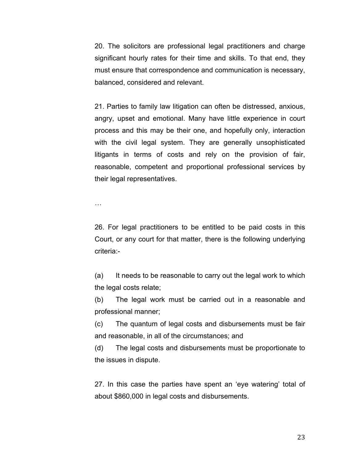20. The solicitors are professional legal practitioners and charge significant hourly rates for their time and skills. To that end, they must ensure that correspondence and communication is necessary, balanced, considered and relevant.

21. Parties to family law litigation can often be distressed, anxious, angry, upset and emotional. Many have little experience in court process and this may be their one, and hopefully only, interaction with the civil legal system. They are generally unsophisticated litigants in terms of costs and rely on the provision of fair, reasonable, competent and proportional professional services by their legal representatives.

…

26. For legal practitioners to be entitled to be paid costs in this Court, or any court for that matter, there is the following underlying criteria:-

(a) It needs to be reasonable to carry out the legal work to which the legal costs relate;

(b) The legal work must be carried out in a reasonable and professional manner;

(c) The quantum of legal costs and disbursements must be fair and reasonable, in all of the circumstances; and

(d) The legal costs and disbursements must be proportionate to the issues in dispute.

27. In this case the parties have spent an 'eye watering' total of about \$860,000 in legal costs and disbursements.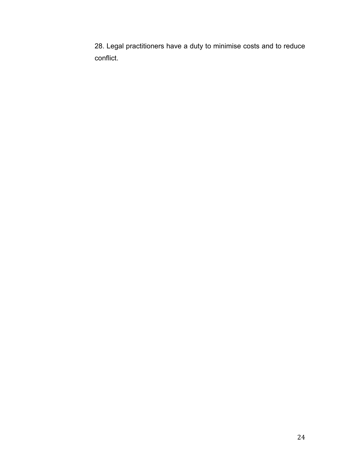28. Legal practitioners have a duty to minimise costs and to reduce conflict.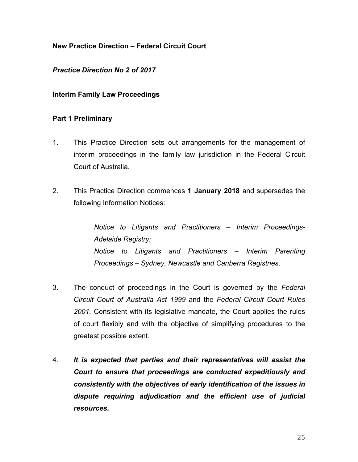#### **New Practice Direction – Federal Circuit Court**

#### *Practice Direction No 2 of 2017*

#### **Interim Family Law Proceedings**

#### **Part 1 Preliminary**

- 1. This Practice Direction sets out arrangements for the management of interim proceedings in the family law jurisdiction in the Federal Circuit Court of Australia.
- 2. This Practice Direction commences **1 January 2018** and supersedes the following Information Notices:

*Notice to Litigants and Practitioners – Interim Proceedings-Adelaide Registry; Notice to Litigants and Practitioners – Interim Parenting Proceedings – Sydney, Newcastle and Canberra Registries.*

- 3. The conduct of proceedings in the Court is governed by the *Federal Circuit Court of Australia Act 1999* and the *Federal Circuit Court Rules 2001.* Consistent with its legislative mandate, the Court applies the rules of court flexibly and with the objective of simplifying procedures to the greatest possible extent.
- 4. *It is expected that parties and their representatives will assist the Court to ensure that proceedings are conducted expeditiously and consistently with the objectives of early identification of the issues in dispute requiring adjudication and the efficient use of judicial resources.*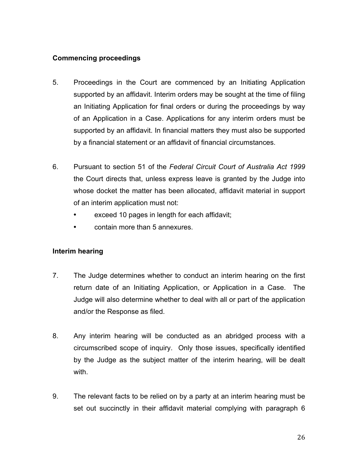#### **Commencing proceedings**

- 5. Proceedings in the Court are commenced by an Initiating Application supported by an affidavit. Interim orders may be sought at the time of filing an Initiating Application for final orders or during the proceedings by way of an Application in a Case. Applications for any interim orders must be supported by an affidavit. In financial matters they must also be supported by a financial statement or an affidavit of financial circumstances.
- 6. Pursuant to section 51 of the *Federal Circuit Court of Australia Act 1999*  the Court directs that, unless express leave is granted by the Judge into whose docket the matter has been allocated, affidavit material in support of an interim application must not:
	- exceed 10 pages in length for each affidavit;
	- contain more than 5 annexures.

### **Interim hearing**

- 7. The Judge determines whether to conduct an interim hearing on the first return date of an Initiating Application, or Application in a Case. The Judge will also determine whether to deal with all or part of the application and/or the Response as filed.
- 8. Any interim hearing will be conducted as an abridged process with a circumscribed scope of inquiry. Only those issues, specifically identified by the Judge as the subject matter of the interim hearing, will be dealt with.
- 9. The relevant facts to be relied on by a party at an interim hearing must be set out succinctly in their affidavit material complying with paragraph 6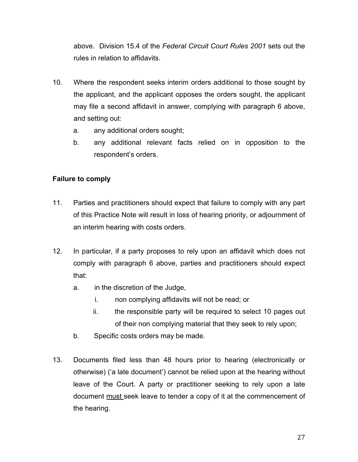above. Division 15.4 of the *Federal Circuit Court Rules 2001* sets out the rules in relation to affidavits.

- 10. Where the respondent seeks interim orders additional to those sought by the applicant, and the applicant opposes the orders sought, the applicant may file a second affidavit in answer, complying with paragraph 6 above, and setting out:
	- a. any additional orders sought;
	- b. any additional relevant facts relied on in opposition to the respondent's orders.

#### **Failure to comply**

- 11. Parties and practitioners should expect that failure to comply with any part of this Practice Note will result in loss of hearing priority, or adjournment of an interim hearing with costs orders.
- 12. In particular, if a party proposes to rely upon an affidavit which does not comply with paragraph 6 above, parties and practitioners should expect that:
	- a. in the discretion of the Judge,
		- i. non complying affidavits will not be read; or
		- ii. the responsible party will be required to select 10 pages out of their non complying material that they seek to rely upon;
	- b. Specific costs orders may be made.
- 13. Documents filed less than 48 hours prior to hearing (electronically or otherwise) ('a late document') cannot be relied upon at the hearing without leave of the Court. A party or practitioner seeking to rely upon a late document must seek leave to tender a copy of it at the commencement of the hearing.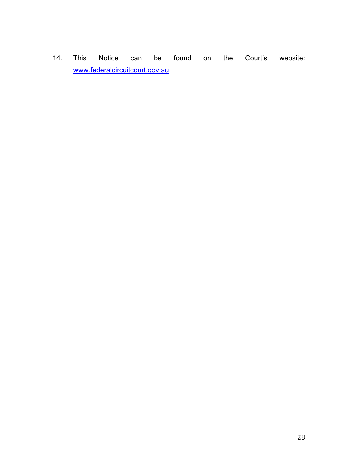14. This Notice can be found on the Court's website: www.federalcircuitcourt.gov.au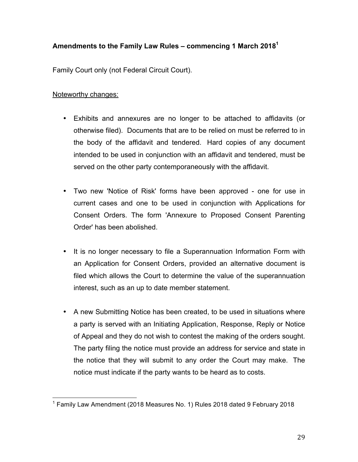#### **Amendments to the Family Law Rules – commencing 1 March 20181**

Family Court only (not Federal Circuit Court).

#### Noteworthy changes:

- Exhibits and annexures are no longer to be attached to affidavits (or otherwise filed). Documents that are to be relied on must be referred to in the body of the affidavit and tendered. Hard copies of any document intended to be used in conjunction with an affidavit and tendered, must be served on the other party contemporaneously with the affidavit.
- Two new 'Notice of Risk' forms have been approved one for use in current cases and one to be used in conjunction with Applications for Consent Orders. The form 'Annexure to Proposed Consent Parenting Order' has been abolished.
- It is no longer necessary to file a Superannuation Information Form with an Application for Consent Orders, provided an alternative document is filed which allows the Court to determine the value of the superannuation interest, such as an up to date member statement.
- A new Submitting Notice has been created, to be used in situations where a party is served with an Initiating Application, Response, Reply or Notice of Appeal and they do not wish to contest the making of the orders sought. The party filing the notice must provide an address for service and state in the notice that they will submit to any order the Court may make. The notice must indicate if the party wants to be heard as to costs.

  $1$  Family Law Amendment (2018 Measures No. 1) Rules 2018 dated 9 February 2018